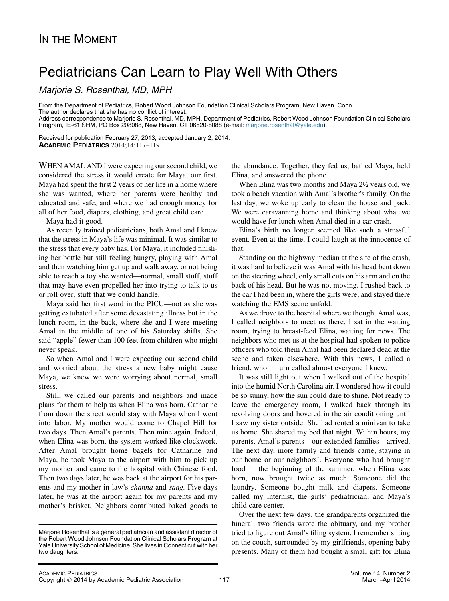## Pediatricians Can Learn to Play Well With Others

Marjorie S. Rosenthal, MD, MPH

From the Department of Pediatrics, Robert Wood Johnson Foundation Clinical Scholars Program, New Haven, Conn The author declares that she has no conflict of interest.

Address correspondence to Marjorie S. Rosenthal, MD, MPH, Department of Pediatrics, Robert Wood Johnson Foundation Clinical Scholars Program, IE-61 SHM, PO Box 208088, New Haven, CT 06520-8088 (e-mail: [marjorie.rosenthal@yale.edu](mailto:marjorie.rosenthal@yale.edu)).

Received for publication February 27, 2013; accepted January 2, 2014. ACADEMIC PEDIATRICS 2014;14:117–119

WHEN AMAL AND I were expecting our second child, we considered the stress it would create for Maya, our first. Maya had spent the first 2 years of her life in a home where she was wanted, where her parents were healthy and educated and safe, and where we had enough money for all of her food, diapers, clothing, and great child care.

Maya had it good.

As recently trained pediatricians, both Amal and I knew that the stress in Maya's life was minimal. It was similar to the stress that every baby has. For Maya, it included finishing her bottle but still feeling hungry, playing with Amal and then watching him get up and walk away, or not being able to reach a toy she wanted—normal, small stuff, stuff that may have even propelled her into trying to talk to us or roll over, stuff that we could handle.

Maya said her first word in the PICU—not as she was getting extubated after some devastating illness but in the lunch room, in the back, where she and I were meeting Amal in the middle of one of his Saturday shifts. She said "apple" fewer than 100 feet from children who might never speak.

So when Amal and I were expecting our second child and worried about the stress a new baby might cause Maya, we knew we were worrying about normal, small stress.

Still, we called our parents and neighbors and made plans for them to help us when Elina was born. Catharine from down the street would stay with Maya when I went into labor. My mother would come to Chapel Hill for two days. Then Amal's parents. Then mine again. Indeed, when Elina was born, the system worked like clockwork. After Amal brought home bagels for Catharine and Maya, he took Maya to the airport with him to pick up my mother and came to the hospital with Chinese food. Then two days later, he was back at the airport for his parents and my mother-in-law's *channa* and *saag*. Five days later, he was at the airport again for my parents and my mother's brisket. Neighbors contributed baked goods to

the abundance. Together, they fed us, bathed Maya, held Elina, and answered the phone.

When Elina was two months and Maya 2½ years old, we took a beach vacation with Amal's brother's family. On the last day, we woke up early to clean the house and pack. We were caravanning home and thinking about what we would have for lunch when Amal died in a car crash.

Elina's birth no longer seemed like such a stressful event. Even at the time, I could laugh at the innocence of that.

Standing on the highway median at the site of the crash, it was hard to believe it was Amal with his head bent down on the steering wheel, only small cuts on his arm and on the back of his head. But he was not moving. I rushed back to the car I had been in, where the girls were, and stayed there watching the EMS scene unfold.

As we drove to the hospital where we thought Amal was, I called neighbors to meet us there. I sat in the waiting room, trying to breast-feed Elina, waiting for news. The neighbors who met us at the hospital had spoken to police officers who told them Amal had been declared dead at the scene and taken elsewhere. With this news, I called a friend, who in turn called almost everyone I knew.

It was still light out when I walked out of the hospital into the humid North Carolina air. I wondered how it could be so sunny, how the sun could dare to shine. Not ready to leave the emergency room, I walked back through its revolving doors and hovered in the air conditioning until I saw my sister outside. She had rented a minivan to take us home. She shared my bed that night. Within hours, my parents, Amal's parents—our extended families—arrived. The next day, more family and friends came, staying in our home or our neighbors'. Everyone who had brought food in the beginning of the summer, when Elina was born, now brought twice as much. Someone did the laundry. Someone bought milk and diapers. Someone called my internist, the girls' pediatrician, and Maya's child care center.

Over the next few days, the grandparents organized the funeral, two friends wrote the obituary, and my brother tried to figure out Amal's filing system. I remember sitting on the couch, surrounded by my girlfriends, opening baby presents. Many of them had bought a small gift for Elina

Marjorie Rosenthal is a general pediatrician and assistant director of the Robert Wood Johnson Foundation Clinical Scholars Program at Yale University School of Medicine. She lives in Connecticut with her two daughters.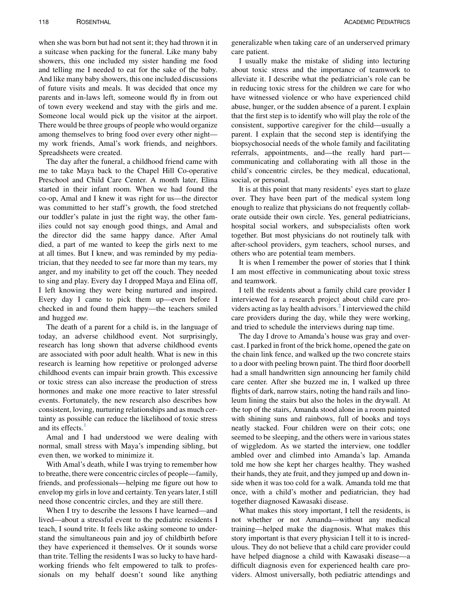when she was born but had not sent it; they had thrown it in a suitcase when packing for the funeral. Like many baby showers, this one included my sister handing me food and telling me I needed to eat for the sake of the baby. And like many baby showers, this one included discussions of future visits and meals. It was decided that once my parents and in-laws left, someone would fly in from out of town every weekend and stay with the girls and me. Someone local would pick up the visitor at the airport. There would be three groups of people who would organize among themselves to bring food over every other night my work friends, Amal's work friends, and neighbors. Spreadsheets were created.

The day after the funeral, a childhood friend came with me to take Maya back to the Chapel Hill Co-operative Preschool and Child Care Center. A month later, Elina started in their infant room. When we had found the co-op, Amal and I knew it was right for us—the director was committed to her staff's growth, the food stretched our toddler's palate in just the right way, the other families could not say enough good things, and Amal and the director did the same happy dance. After Amal died, a part of me wanted to keep the girls next to me at all times. But I knew, and was reminded by my pediatrician, that they needed to see far more than my tears, my anger, and my inability to get off the couch. They needed to sing and play. Every day I dropped Maya and Elina off, I left knowing they were being nurtured and inspired. Every day I came to pick them up—even before I checked in and found them happy—the teachers smiled and hugged me.

The death of a parent for a child is, in the language of today, an adverse childhood event. Not surprisingly, research has long shown that adverse childhood events are associated with poor adult health. What is new in this research is learning how repetitive or prolonged adverse childhood events can impair brain growth. This excessive or toxic stress can also increase the production of stress hormones and make one more reactive to later stressful events. Fortunately, the new research also describes how consistent, loving, nurturing relationships and as much certainty as possible can reduce the likelihood of toxic stress and its effects.

Amal and I had understood we were dealing with normal, small stress with Maya's impending sibling, but even then, we worked to minimize it.

With Amal's death, while I was trying to remember how to breathe, there were concentric circles of people—family, friends, and professionals—helping me figure out how to envelop my girls in love and certainty. Ten years later, I still need those concentric circles, and they are still there.

When I try to describe the lessons I have learned—and lived—about a stressful event to the pediatric residents I teach, I sound trite. It feels like asking someone to understand the simultaneous pain and joy of childbirth before they have experienced it themselves. Or it sounds worse than trite. Telling the residents I was so lucky to have hardworking friends who felt empowered to talk to professionals on my behalf doesn't sound like anything

I usually make the mistake of sliding into lecturing about toxic stress and the importance of teamwork to alleviate it. I describe what the pediatrician's role can be in reducing toxic stress for the children we care for who have witnessed violence or who have experienced child abuse, hunger, or the sudden absence of a parent. I explain that the first step is to identify who will play the role of the consistent, supportive caregiver for the child—usually a parent. I explain that the second step is identifying the biopsychosocial needs of the whole family and facilitating referrals, appointments, and—the really hard part communicating and collaborating with all those in the child's concentric circles, be they medical, educational, social, or personal.

It is at this point that many residents' eyes start to glaze over. They have been part of the medical system long enough to realize that physicians do not frequently collaborate outside their own circle. Yes, general pediatricians, hospital social workers, and subspecialists often work together. But most physicians do not routinely talk with after-school providers, gym teachers, school nurses, and others who are potential team members.

It is when I remember the power of stories that I think I am most effective in communicating about toxic stress and teamwork.

I tell the residents about a family child care provider I interviewed for a research project about child care pro-viders acting as lay health advisors.<sup>[2](#page-2-0)</sup> I interviewed the child care providers during the day, while they were working, and tried to schedule the interviews during nap time.

The day I drove to Amanda's house was gray and overcast. I parked in front of the brick home, opened the gate on the chain link fence, and walked up the two concrete stairs to a door with peeling brown paint. The third floor doorbell had a small handwritten sign announcing her family child care center. After she buzzed me in, I walked up three flights of dark, narrow stairs, noting the hand rails and linoleum lining the stairs but also the holes in the drywall. At the top of the stairs, Amanda stood alone in a room painted with shining suns and rainbows, full of books and toys neatly stacked. Four children were on their cots; one seemed to be sleeping, and the others were in various states of wiggledom. As we started the interview, one toddler ambled over and climbed into Amanda's lap. Amanda told me how she kept her charges healthy. They washed their hands, they ate fruit, and they jumped up and down inside when it was too cold for a walk. Amanda told me that once, with a child's mother and pediatrician, they had together diagnosed Kawasaki disease.

What makes this story important, I tell the residents, is not whether or not Amanda—without any medical training—helped make the diagnosis. What makes this story important is that every physician I tell it to is incredulous. They do not believe that a child care provider could have helped diagnose a child with Kawasaki disease—a difficult diagnosis even for experienced health care providers. Almost universally, both pediatric attendings and